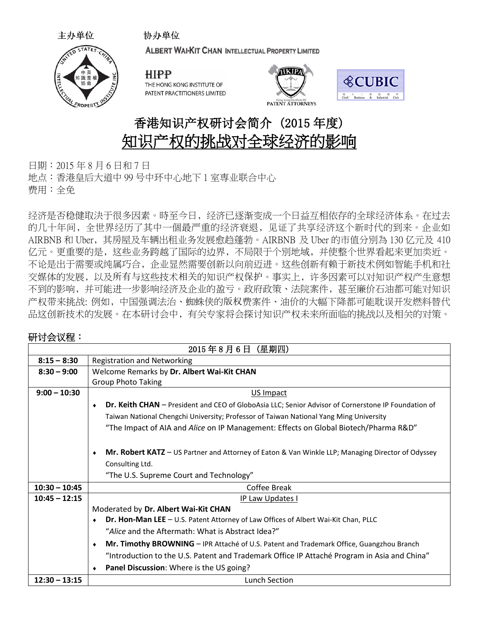

主办单位

ALBERT WAI-KIT CHAN INTELLECTUAL PROPERTY LIMITED

**HIPP** THE HONG KONG INSTITUTE OF PATENT PRACTITIONERS LIMITED

协办单位





## 香港知识产权研讨会简介 (2015 年度) 知识产权的挑战对全球经济的影响

日期:2015 年 8 月 6 日和 7 日 地点:香港皇后大道中 99 号中环中心地下 1 室専业联合中心 费用:全免

经济是否稳健取決于很多因素。時至今日﹐经济已逐渐变成一个日益互相依存的全球经济体系。在过去 的几十年间﹐全世界经历了其中一個最严重的经济衰退﹐见证了共享经济这个新时代的到来。企业如 AIRBNB 和 Uber﹐其房屋及车辆出租业务发展愈趋蓬勃。AIRBNB 及 Uber 的市值分別為 130 亿元及 410 亿元。更重要的是﹐这些业务跨越了国际的边界﹐不局限于个別地域﹐并使整个世界看起来更加类近。 不论是出于需要或纯属巧合﹐企业显然需要创新以向前迈进。这些创新有赖于新技术例如智能手机和社 交媒体的发展﹐以及所有与这些技术相关的知识产权保护。事实上﹐许多因素可以对知识产权产生意想 不到的影响﹐并可能进一步影响经济及企业的盈亏。政府政策、法院案件﹐甚至廉价石油都可能对知识 产权带来挑战: 例如﹐中国强调法治、蜘蛛侠的版权费案件、油价的大幅下降都可能耽误开发燃料替代 品这创新技术的发展。在本研讨会中﹐有关专家将会探讨知识产权未来所面临的挑战以及相关的对策。

## 研讨会议程:

| 2015年8月6日 (星期四) |                                                                                                          |  |
|-----------------|----------------------------------------------------------------------------------------------------------|--|
| $8:15 - 8:30$   | <b>Registration and Networking</b>                                                                       |  |
| $8:30 - 9:00$   | Welcome Remarks by Dr. Albert Wai-Kit CHAN                                                               |  |
|                 | <b>Group Photo Taking</b>                                                                                |  |
| $9:00 - 10:30$  | US Impact                                                                                                |  |
|                 | Dr. Keith CHAN - President and CEO of GloboAsia LLC; Senior Advisor of Cornerstone IP Foundation of<br>۰ |  |
|                 | Taiwan National Chengchi University; Professor of Taiwan National Yang Ming University                   |  |
|                 | "The Impact of AIA and Alice on IP Management: Effects on Global Biotech/Pharma R&D"                     |  |
|                 |                                                                                                          |  |
|                 | Mr. Robert KATZ – US Partner and Attorney of Eaton & Van Winkle LLP; Managing Director of Odyssey<br>٠   |  |
|                 | Consulting Ltd.                                                                                          |  |
|                 | "The U.S. Supreme Court and Technology"                                                                  |  |
| $10:30 - 10:45$ | Coffee Break                                                                                             |  |
| $10:45 - 12:15$ | IP Law Updates I                                                                                         |  |
|                 | Moderated by Dr. Albert Wai-Kit CHAN                                                                     |  |
|                 | Dr. Hon-Man LEE - U.S. Patent Attorney of Law Offices of Albert Wai-Kit Chan, PLLC<br>$\bullet$          |  |
|                 | "Alice and the Aftermath: What is Abstract Idea?"                                                        |  |
|                 | Mr. Timothy BROWNING - IPR Attaché of U.S. Patent and Trademark Office, Guangzhou Branch<br>$\bullet$    |  |
|                 | "Introduction to the U.S. Patent and Trademark Office IP Attaché Program in Asia and China"              |  |
|                 | Panel Discussion: Where is the US going?                                                                 |  |
| $12:30 - 13:15$ | <b>Lunch Section</b>                                                                                     |  |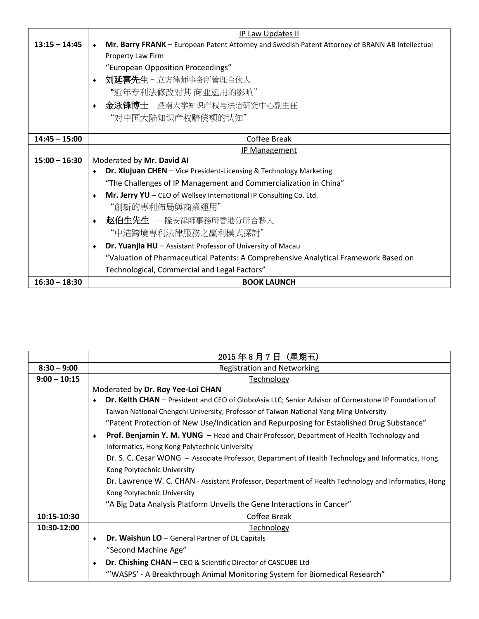|                 | IP Law Updates II                                                                               |
|-----------------|-------------------------------------------------------------------------------------------------|
| $13:15 - 14:45$ | Mr. Barry FRANK - European Patent Attorney and Swedish Patent Attorney of BRANN AB Intellectual |
|                 | Property Law Firm                                                                               |
|                 | "European Opposition Proceedings"                                                               |
|                 | 刘延喜先生 - 立方律师事务所管理合伙人<br>$\bullet$                                                               |
|                 | "近年专利法修改对其 商业运用的影响"                                                                             |
|                 | 金泳锋博士 – 暨南大学知识产权与法治研究中心副主任<br>$\bullet$                                                         |
|                 | "对中国大陆知识产权赔偿额的认知"                                                                               |
|                 |                                                                                                 |
| $14:45 - 15:00$ | Coffee Break                                                                                    |
|                 | <b>IP Management</b>                                                                            |
| $15:00 - 16:30$ | Moderated by Mr. David AI                                                                       |
|                 | Dr. Xiujuan CHEN - Vice President-Licensing & Technology Marketing<br>$\bullet$                 |
|                 | "The Challenges of IP Management and Commercialization in China"                                |
|                 | Mr. Jerry YU - CEO of Wellsey International IP Consulting Co. Ltd.<br>٠                         |
|                 | "創新的專利佈局與商業運用"                                                                                  |
|                 | 赵伯生先生 - 隆安律師事務所香港分所合夥人<br>$\bullet$                                                             |
|                 | "中港跨境專利法律服務之贏利模式探討"                                                                             |
|                 | Dr. Yuanjia HU - Assistant Professor of University of Macau<br>$\bullet$                        |
|                 | "Valuation of Pharmaceutical Patents: A Comprehensive Analytical Framework Based on             |
|                 | Technological, Commercial and Legal Factors"                                                    |
| $16:30 - 18:30$ | <b>BOOK LAUNCH</b>                                                                              |

|                | 2015年8月7日 (星期五)                                                                                        |
|----------------|--------------------------------------------------------------------------------------------------------|
| $8:30 - 9:00$  | <b>Registration and Networking</b>                                                                     |
| $9:00 - 10:15$ | <b>Technology</b>                                                                                      |
|                | Moderated by Dr. Roy Yee-Loi CHAN                                                                      |
|                | Dr. Keith CHAN - President and CEO of GloboAsia LLC; Senior Advisor of Cornerstone IP Foundation of    |
|                | Taiwan National Chengchi University; Professor of Taiwan National Yang Ming University                 |
|                | "Patent Protection of New Use/Indication and Repurposing for Established Drug Substance"               |
|                | Prof. Benjamin Y. M. YUNG - Head and Chair Professor, Department of Health Technology and<br>$\bullet$ |
|                | Informatics, Hong Kong Polytechnic University                                                          |
|                | Dr. S. C. Cesar WONG - Associate Professor, Department of Health Technology and Informatics, Hong      |
|                | Kong Polytechnic University                                                                            |
|                | Dr. Lawrence W. C. CHAN - Assistant Professor, Department of Health Technology and Informatics, Hong   |
|                | Kong Polytechnic University                                                                            |
|                | "A Big Data Analysis Platform Unveils the Gene Interactions in Cancer"                                 |
| 10:15-10:30    | Coffee Break                                                                                           |
| 10:30-12:00    | Technology                                                                                             |
|                | Dr. Waishun LO - General Partner of DL Capitals                                                        |
|                | "Second Machine Age"                                                                                   |
|                | Dr. Chishing CHAN - CEO & Scientific Director of CASCUBE Ltd                                           |
|                | "'WASPS' - A Breakthrough Animal Monitoring System for Biomedical Research"                            |